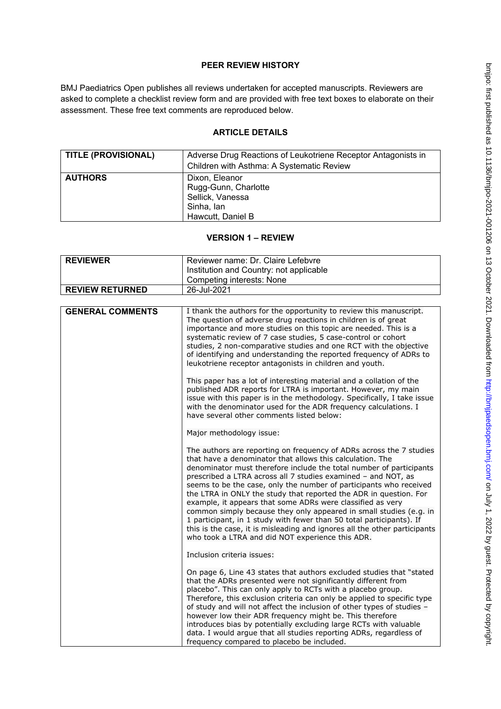## **PEER REVIEW HISTORY**

BMJ Paediatrics Open publishes all reviews undertaken for accepted manuscripts. Reviewers are asked to complete a checklist review form and are provided with free text boxes to elaborate on their assessment. These free text comments are reproduced below.

## **ARTICLE DETAILS**

| <b>TITLE (PROVISIONAL)</b> | Adverse Drug Reactions of Leukotriene Receptor Antagonists in<br>Children with Asthma: A Systematic Review |
|----------------------------|------------------------------------------------------------------------------------------------------------|
| <b>AUTHORS</b>             | Dixon, Eleanor<br>Rugg-Gunn, Charlotte<br>Sellick, Vanessa<br>Sinha, lan<br>Hawcutt, Daniel B              |

# **VERSION 1 – REVIEW**

| <b>REVIEWER</b>         | Reviewer name: Dr. Claire Lefebvre                                                                                                                                                                                                                                                                                                                                                                                                                                                                                                                                                                                                                                                                                                                               |
|-------------------------|------------------------------------------------------------------------------------------------------------------------------------------------------------------------------------------------------------------------------------------------------------------------------------------------------------------------------------------------------------------------------------------------------------------------------------------------------------------------------------------------------------------------------------------------------------------------------------------------------------------------------------------------------------------------------------------------------------------------------------------------------------------|
|                         | Institution and Country: not applicable                                                                                                                                                                                                                                                                                                                                                                                                                                                                                                                                                                                                                                                                                                                          |
|                         | <b>Competing interests: None</b>                                                                                                                                                                                                                                                                                                                                                                                                                                                                                                                                                                                                                                                                                                                                 |
| <b>REVIEW RETURNED</b>  | 26-Jul-2021                                                                                                                                                                                                                                                                                                                                                                                                                                                                                                                                                                                                                                                                                                                                                      |
|                         |                                                                                                                                                                                                                                                                                                                                                                                                                                                                                                                                                                                                                                                                                                                                                                  |
| <b>GENERAL COMMENTS</b> | I thank the authors for the opportunity to review this manuscript.<br>The question of adverse drug reactions in children is of great<br>importance and more studies on this topic are needed. This is a<br>systematic review of 7 case studies, 5 case-control or cohort<br>studies, 2 non-comparative studies and one RCT with the objective<br>of identifying and understanding the reported frequency of ADRs to<br>leukotriene receptor antagonists in children and youth.                                                                                                                                                                                                                                                                                   |
|                         | This paper has a lot of interesting material and a collation of the<br>published ADR reports for LTRA is important. However, my main<br>issue with this paper is in the methodology. Specifically, I take issue<br>with the denominator used for the ADR frequency calculations. I<br>have several other comments listed below:                                                                                                                                                                                                                                                                                                                                                                                                                                  |
|                         | Major methodology issue:                                                                                                                                                                                                                                                                                                                                                                                                                                                                                                                                                                                                                                                                                                                                         |
|                         | The authors are reporting on frequency of ADRs across the 7 studies<br>that have a denominator that allows this calculation. The<br>denominator must therefore include the total number of participants<br>prescribed a LTRA across all 7 studies examined - and NOT, as<br>seems to be the case, only the number of participants who received<br>the LTRA in ONLY the study that reported the ADR in question. For<br>example, it appears that some ADRs were classified as very<br>common simply because they only appeared in small studies (e.g. in<br>1 participant, in 1 study with fewer than 50 total participants). If<br>this is the case, it is misleading and ignores all the other participants<br>who took a LTRA and did NOT experience this ADR. |
|                         | Inclusion criteria issues:                                                                                                                                                                                                                                                                                                                                                                                                                                                                                                                                                                                                                                                                                                                                       |
|                         | On page 6, Line 43 states that authors excluded studies that "stated<br>that the ADRs presented were not significantly different from<br>placebo". This can only apply to RCTs with a placebo group.<br>Therefore, this exclusion criteria can only be applied to specific type<br>of study and will not affect the inclusion of other types of studies -<br>however low their ADR frequency might be. This therefore<br>introduces bias by potentially excluding large RCTs with valuable<br>data. I would argue that all studies reporting ADRs, regardless of<br>frequency compared to placebo be included.                                                                                                                                                   |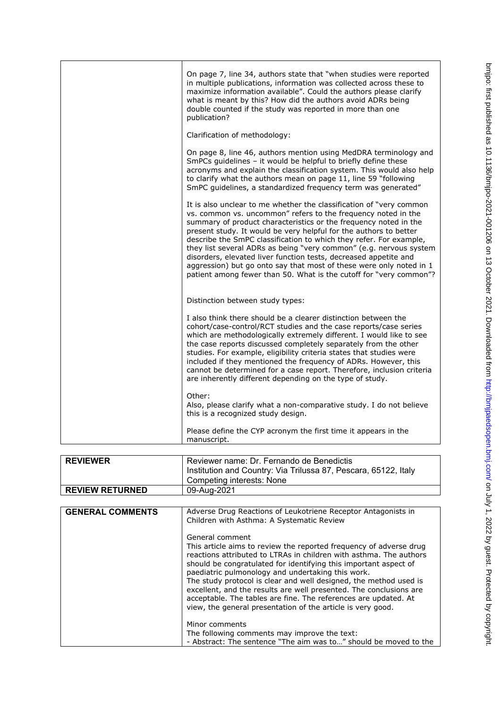| On page 7, line 34, authors state that "when studies were reported<br>in multiple publications, information was collected across these to<br>maximize information available". Could the authors please clarify<br>what is meant by this? How did the authors avoid ADRs being<br>double counted if the study was reported in more than one<br>publication?                                                                                                                                                                                                                                                                                  |
|---------------------------------------------------------------------------------------------------------------------------------------------------------------------------------------------------------------------------------------------------------------------------------------------------------------------------------------------------------------------------------------------------------------------------------------------------------------------------------------------------------------------------------------------------------------------------------------------------------------------------------------------|
| Clarification of methodology:                                                                                                                                                                                                                                                                                                                                                                                                                                                                                                                                                                                                               |
| On page 8, line 46, authors mention using MedDRA terminology and<br>SmPCs guidelines - it would be helpful to briefly define these<br>acronyms and explain the classification system. This would also help<br>to clarify what the authors mean on page 11, line 59 "following<br>SmPC quidelines, a standardized frequency term was generated"                                                                                                                                                                                                                                                                                              |
| It is also unclear to me whether the classification of "very common"<br>vs. common vs. uncommon" refers to the frequency noted in the<br>summary of product characteristics or the frequency noted in the<br>present study. It would be very helpful for the authors to better<br>describe the SmPC classification to which they refer. For example,<br>they list several ADRs as being "very common" (e.g. nervous system<br>disorders, elevated liver function tests, decreased appetite and<br>aggression) but go onto say that most of these were only noted in 1<br>patient among fewer than 50. What is the cutoff for "very common"? |
| Distinction between study types:                                                                                                                                                                                                                                                                                                                                                                                                                                                                                                                                                                                                            |
| I also think there should be a clearer distinction between the<br>cohort/case-control/RCT studies and the case reports/case series<br>which are methodologically extremely different. I would like to see<br>the case reports discussed completely separately from the other<br>studies. For example, eligibility criteria states that studies were<br>included if they mentioned the frequency of ADRs. However, this<br>cannot be determined for a case report. Therefore, inclusion criteria<br>are inherently different depending on the type of study.                                                                                 |
| Other:<br>Also, please clarify what a non-comparative study. I do not believe<br>this is a recognized study design.                                                                                                                                                                                                                                                                                                                                                                                                                                                                                                                         |
| Please define the CYP acronym the first time it appears in the<br>manuscript.                                                                                                                                                                                                                                                                                                                                                                                                                                                                                                                                                               |

| <b>REVIEWER</b>        | Reviewer name: Dr. Fernando de Benedictis<br>Institution and Country: Via Trilussa 87, Pescara, 65122, Italy<br>Competing interests: None |
|------------------------|-------------------------------------------------------------------------------------------------------------------------------------------|
| <b>REVIEW RETURNED</b> | 09-Aug-2021                                                                                                                               |
|                        |                                                                                                                                           |

| <b>GENERAL COMMENTS</b> | Adverse Drug Reactions of Leukotriene Receptor Antagonists in<br>Children with Asthma: A Systematic Review                                                                                                                                                                                                                                                                                                                                                                                                                                     |
|-------------------------|------------------------------------------------------------------------------------------------------------------------------------------------------------------------------------------------------------------------------------------------------------------------------------------------------------------------------------------------------------------------------------------------------------------------------------------------------------------------------------------------------------------------------------------------|
|                         | General comment                                                                                                                                                                                                                                                                                                                                                                                                                                                                                                                                |
|                         | This article aims to review the reported frequency of adverse drug<br>reactions attributed to LTRAs in children with asthma. The authors<br>should be congratulated for identifying this important aspect of<br>paediatric pulmonology and undertaking this work.<br>The study protocol is clear and well designed, the method used is<br>excellent, and the results are well presented. The conclusions are<br>acceptable. The tables are fine. The references are updated. At<br>view, the general presentation of the article is very good. |
|                         | Minor comments                                                                                                                                                                                                                                                                                                                                                                                                                                                                                                                                 |
|                         | The following comments may improve the text:                                                                                                                                                                                                                                                                                                                                                                                                                                                                                                   |
|                         | - Abstract: The sentence "The aim was to" should be moved to the                                                                                                                                                                                                                                                                                                                                                                                                                                                                               |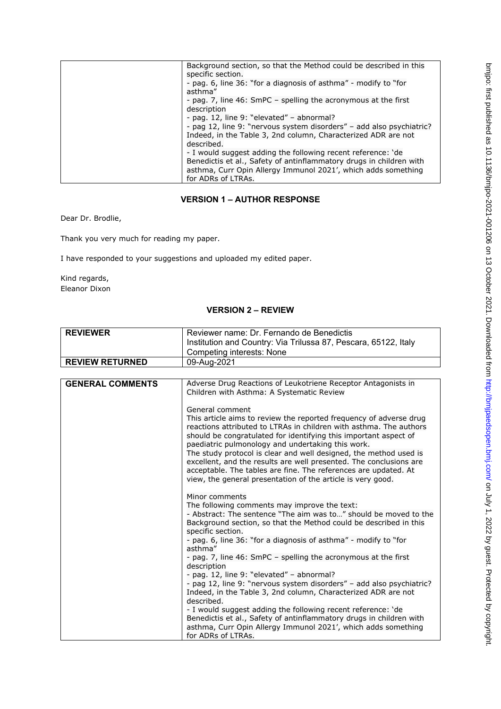| Background section, so that the Method could be described in this    |
|----------------------------------------------------------------------|
| specific section.                                                    |
| - pag. 6, line 36: "for a diagnosis of asthma" - modify to "for      |
| asthma"                                                              |
| - pag. 7, line 46: SmPC – spelling the acronymous at the first       |
| description                                                          |
| - pag. 12, line 9: "elevated" - abnormal?                            |
| - pag 12, line 9: "nervous system disorders" - add also psychiatric? |
| Indeed, in the Table 3, 2nd column, Characterized ADR are not        |
| described.                                                           |
| - I would suggest adding the following recent reference: 'de         |
| Benedictis et al., Safety of antinflammatory drugs in children with  |
| asthma, Curr Opin Allergy Immunol 2021', which adds something        |
| for ADRs of LTRAs.                                                   |

## **VERSION 1 – AUTHOR RESPONSE**

Dear Dr. Brodlie,

Thank you very much for reading my paper.

I have responded to your suggestions and uploaded my edited paper.

Kind regards, Eleanor Dixon

## **VERSION 2 – REVIEW**

| <b>REVIEWER</b>        | Reviewer name: Dr. Fernando de Benedictis<br>Institution and Country: Via Trilussa 87, Pescara, 65122, Italy<br>Competing interests: None |
|------------------------|-------------------------------------------------------------------------------------------------------------------------------------------|
| <b>REVIEW RETURNED</b> | 09-Aug-2021                                                                                                                               |

| <b>GENERAL COMMENTS</b> | Adverse Drug Reactions of Leukotriene Receptor Antagonists in<br>Children with Asthma: A Systematic Review                                                                                                                                                                                                                                                                                                                                                                                                                                     |
|-------------------------|------------------------------------------------------------------------------------------------------------------------------------------------------------------------------------------------------------------------------------------------------------------------------------------------------------------------------------------------------------------------------------------------------------------------------------------------------------------------------------------------------------------------------------------------|
|                         | General comment                                                                                                                                                                                                                                                                                                                                                                                                                                                                                                                                |
|                         | This article aims to review the reported frequency of adverse drug<br>reactions attributed to LTRAs in children with asthma. The authors<br>should be congratulated for identifying this important aspect of<br>paediatric pulmonology and undertaking this work.<br>The study protocol is clear and well designed, the method used is<br>excellent, and the results are well presented. The conclusions are<br>acceptable. The tables are fine. The references are updated. At<br>view, the general presentation of the article is very good. |
|                         | Minor comments                                                                                                                                                                                                                                                                                                                                                                                                                                                                                                                                 |
|                         | The following comments may improve the text:                                                                                                                                                                                                                                                                                                                                                                                                                                                                                                   |
|                         | - Abstract: The sentence "The aim was to" should be moved to the<br>Background section, so that the Method could be described in this<br>specific section.                                                                                                                                                                                                                                                                                                                                                                                     |
|                         | - pag. 6, line 36: "for a diagnosis of asthma" - modify to "for<br>asthma"                                                                                                                                                                                                                                                                                                                                                                                                                                                                     |
|                         | - pag. 7, line 46: SmPC – spelling the acronymous at the first<br>description                                                                                                                                                                                                                                                                                                                                                                                                                                                                  |
|                         | - pag. 12, line 9: "elevated" - abnormal?                                                                                                                                                                                                                                                                                                                                                                                                                                                                                                      |
|                         | - pag 12, line 9: "nervous system disorders" - add also psychiatric?<br>Indeed, in the Table 3, 2nd column, Characterized ADR are not<br>described.                                                                                                                                                                                                                                                                                                                                                                                            |
|                         | - I would suggest adding the following recent reference: 'de<br>Benedictis et al., Safety of antinflammatory drugs in children with                                                                                                                                                                                                                                                                                                                                                                                                            |
|                         | asthma, Curr Opin Allergy Immunol 2021', which adds something<br>for ADRs of LTRAs.                                                                                                                                                                                                                                                                                                                                                                                                                                                            |